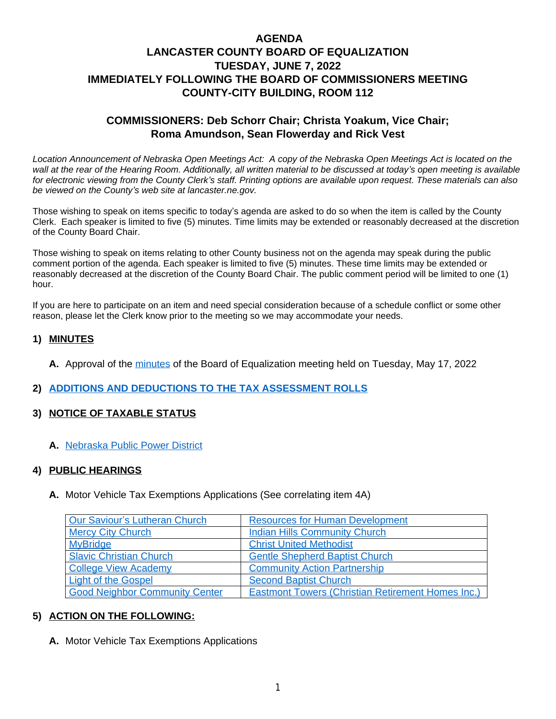# **AGENDA LANCASTER COUNTY BOARD OF EQUALIZATION TUESDAY, JUNE 7, 2022 IMMEDIATELY FOLLOWING THE BOARD OF COMMISSIONERS MEETING COUNTY-CITY BUILDING, ROOM 112**

# **COMMISSIONERS: Deb Schorr Chair; Christa Yoakum, Vice Chair; Roma Amundson, Sean Flowerday and Rick Vest**

Location Announcement of Nebraska Open Meetings Act: A copy of the Nebraska Open Meetings Act is located on the *wall at the rear of the Hearing Room. Additionally, all written material to be discussed at today's open meeting is available for electronic viewing from the County Clerk's staff. Printing options are available upon request. These materials can also be viewed on the County's web site at lancaster.ne.gov.*

Those wishing to speak on items specific to today's agenda are asked to do so when the item is called by the County Clerk. Each speaker is limited to five (5) minutes. Time limits may be extended or reasonably decreased at the discretion of the County Board Chair.

Those wishing to speak on items relating to other County business not on the agenda may speak during the public comment portion of the agenda. Each speaker is limited to five (5) minutes. These time limits may be extended or reasonably decreased at the discretion of the County Board Chair. The public comment period will be limited to one (1) hour.

If you are here to participate on an item and need special consideration because of a schedule conflict or some other reason, please let the Clerk know prior to the meeting so we may accommodate your needs.

#### **1) MINUTES**

**A.** Approval of the [minutes](https://www.lancaster.ne.gov/DocumentCenter/View/14085/mi220517-BOE--PDF-) of the Board of Equalization meeting held on Tuesday, May 17, 2022

#### **2) [ADDITIONS AND DEDUCTIONS TO THE TAX ASSESSMENT ROLLS](https://www.lancaster.ne.gov/DocumentCenter/View/14092/Add-and-Ded-PDF-)**

#### **3) NOTICE OF TAXABLE STATUS**

**A.** [Nebraska Public Power District](https://www.lancaster.ne.gov/DocumentCenter/View/14087/Nebraska-Public-Power-PDF-)

#### **4) [PUBLIC HEARINGS](https://www.lancaster.ne.gov/DocumentCenter/View/14087/Nebraska-Public-Power-PDF-)**

**A.** [Motor Vehicle Tax Exemptions Applications \(See correlating item](https://www.lancaster.ne.gov/DocumentCenter/View/14087/Nebraska-Public-Power-PDF-) [4A\)](https://www.lancaster.ne.gov/DocumentCenter/View/14087/Nebraska-Public-Power-PDF-)

| Our Saviour's Lutheran Church         | <b>Resources for Human Development</b>                   |
|---------------------------------------|----------------------------------------------------------|
| <b>Mercy City Church</b>              | <b>Indian Hills Community Church</b>                     |
| <b>MyBridge</b>                       | <b>Christ United Methodist</b>                           |
| <b>Slavic Christian Church</b>        | <b>Gentle Shepherd Baptist Church</b>                    |
| <b>College View Academy</b>           | <b>Community Action Partnership</b>                      |
| <b>Light of the Gospel</b>            | <b>Second Baptist Church</b>                             |
| <b>Good Neighbor Community Center</b> | <b>Eastmont Towers (Christian Retirement Homes Inc.)</b> |

#### **5) [ACTION ON THE FOLLOWING:](https://www.lancaster.ne.gov/DocumentCenter/View/14094/Christian-Retirement-Home-Eastmont-Towers-PDF-)**

**A.** [Motor Vehicle Tax Exemptions Applications](https://www.lancaster.ne.gov/DocumentCenter/View/14094/Christian-Retirement-Home-Eastmont-Towers-PDF-)